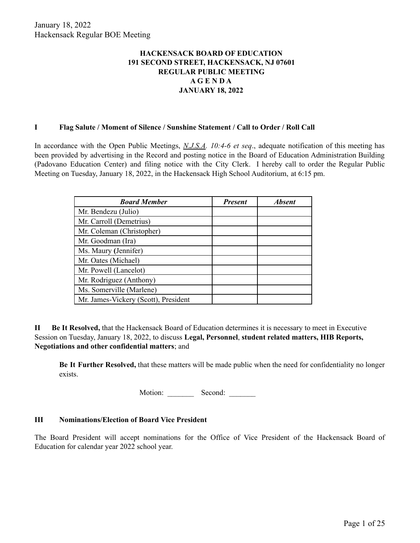# **HACKENSACK BOARD OF EDUCATION 191 SECOND STREET, HACKENSACK, NJ 07601 REGULAR PUBLIC MEETING A G E N D A JANUARY 18, 2022**

### **I Flag Salute / Moment of Silence / Sunshine Statement / Call to Order / Roll Call**

In accordance with the Open Public Meetings, *N.J.S.A. 10:4-6 et seq*., adequate notification of this meeting has been provided by advertising in the Record and posting notice in the Board of Education Administration Building (Padovano Education Center) and filing notice with the City Clerk. I hereby call to order the Regular Public Meeting on Tuesday, January 18, 2022, in the Hackensack High School Auditorium, at 6:15 pm.

| <b>Board Member</b>                  | <b>Present</b> | <b>Absent</b> |
|--------------------------------------|----------------|---------------|
| Mr. Bendezu (Julio)                  |                |               |
| Mr. Carroll (Demetrius)              |                |               |
| Mr. Coleman (Christopher)            |                |               |
| Mr. Goodman (Ira)                    |                |               |
| Ms. Maury (Jennifer)                 |                |               |
| Mr. Oates (Michael)                  |                |               |
| Mr. Powell (Lancelot)                |                |               |
| Mr. Rodriguez (Anthony)              |                |               |
| Ms. Somerville (Marlene)             |                |               |
| Mr. James-Vickery (Scott), President |                |               |

**II Be It Resolved,** that the Hackensack Board of Education determines it is necessary to meet in Executive Session on Tuesday, January 18, 2022, to discuss **Legal, Personnel**, **student related matters, HIB Reports, Negotiations and other confidential matters**; and

**Be It Further Resolved,** that these matters will be made public when the need for confidentiality no longer exists.

Motion: Second:

#### **III Nominations/Election of Board Vice President**

The Board President will accept nominations for the Office of Vice President of the Hackensack Board of Education for calendar year 2022 school year.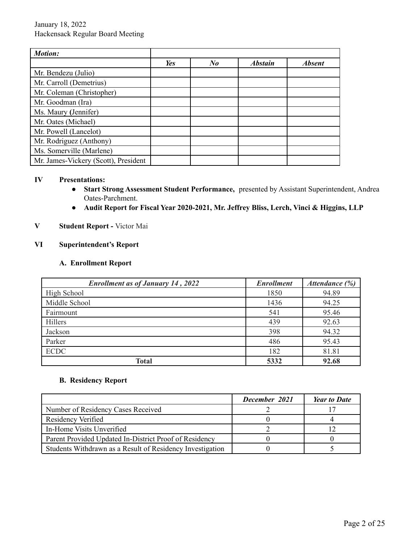| <b>Motion:</b>                       |     |         |                |               |
|--------------------------------------|-----|---------|----------------|---------------|
|                                      | Yes | $N_{0}$ | <b>Abstain</b> | <b>Absent</b> |
| Mr. Bendezu (Julio)                  |     |         |                |               |
| Mr. Carroll (Demetrius)              |     |         |                |               |
| Mr. Coleman (Christopher)            |     |         |                |               |
| Mr. Goodman (Ira)                    |     |         |                |               |
| Ms. Maury (Jennifer)                 |     |         |                |               |
| Mr. Oates (Michael)                  |     |         |                |               |
| Mr. Powell (Lancelot)                |     |         |                |               |
| Mr. Rodriguez (Anthony)              |     |         |                |               |
| Ms. Somerville (Marlene)             |     |         |                |               |
| Mr. James-Vickery (Scott), President |     |         |                |               |

#### **IV Presentations:**

- **● Start Strong Assessment Student Performance,** presented by Assistant Superintendent, Andrea Oates-Parchment.
- **Audit Report for Fiscal Year 2020-2021, Mr. Jeffrey Bliss, Lerch, Vinci & Higgins, LLP**

# **V Student Report -** Victor Mai

# **VI Superintendent's Report**

#### **A. Enrollment Report**

| <b>Enrollment as of January 14, 2022</b> | <b>Enrollment</b> | Attendance (%) |
|------------------------------------------|-------------------|----------------|
| High School                              | 1850              | 94.89          |
| Middle School                            | 1436              | 94.25          |
| Fairmount                                | 541               | 95.46          |
| Hillers                                  | 439               | 92.63          |
| Jackson                                  | 398               | 94.32          |
| Parker                                   | 486               | 95.43          |
| <b>ECDC</b>                              | 182               | 81.81          |
| Total                                    | 5332              | 92.68          |

# **B. Residency Report**

|                                                           | December 2021 | <b>Year to Date</b> |
|-----------------------------------------------------------|---------------|---------------------|
| Number of Residency Cases Received                        |               |                     |
| Residency Verified                                        |               |                     |
| In-Home Visits Unverified                                 |               |                     |
| Parent Provided Updated In-District Proof of Residency    |               |                     |
| Students Withdrawn as a Result of Residency Investigation |               |                     |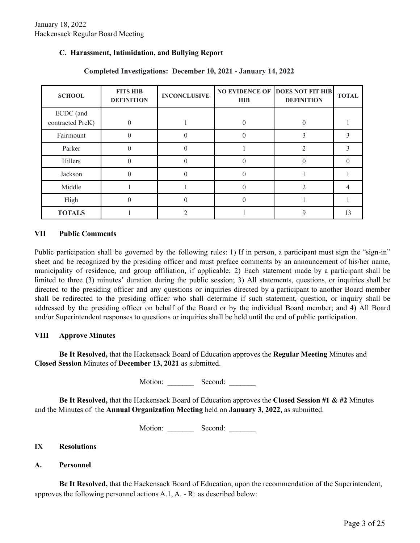## **C. Harassment, Intimidation, and Bullying Report**

| <b>SCHOOL</b>                 | <b>FITS HIB</b><br><b>DEFINITION</b> | <b>INCONCLUSIVE</b> | <b>HIB</b> | <b>NO EVIDENCE OF DOES NOT FIT HIB</b><br><b>DEFINITION</b> | <b>TOTAL</b> |
|-------------------------------|--------------------------------------|---------------------|------------|-------------------------------------------------------------|--------------|
| ECDC (and<br>contracted PreK) | $\theta$                             |                     |            |                                                             |              |
| Fairmount                     | $\Omega$                             |                     |            |                                                             |              |
| Parker                        | $\Omega$                             | $\Omega$            |            | C                                                           |              |
| Hillers                       | $\theta$                             |                     |            |                                                             |              |
| Jackson                       | $\Omega$                             |                     |            |                                                             |              |
| Middle                        |                                      |                     |            |                                                             |              |
| High                          | 0                                    |                     |            |                                                             |              |
| <b>TOTALS</b>                 |                                      |                     |            |                                                             | 13           |

## **Completed Investigations: December 10, 2021 - January 14, 2022**

#### **VII Public Comments**

Public participation shall be governed by the following rules: 1) If in person, a participant must sign the "sign-in" sheet and be recognized by the presiding officer and must preface comments by an announcement of his/her name, municipality of residence, and group affiliation, if applicable; 2) Each statement made by a participant shall be limited to three (3) minutes' duration during the public session; 3) All statements, questions, or inquiries shall be directed to the presiding officer and any questions or inquiries directed by a participant to another Board member shall be redirected to the presiding officer who shall determine if such statement, question, or inquiry shall be addressed by the presiding officer on behalf of the Board or by the individual Board member; and 4) All Board and/or Superintendent responses to questions or inquiries shall be held until the end of public participation.

#### **VIII Approve Minutes**

**Be It Resolved,** that the Hackensack Board of Education approves the **Regular Meeting** Minutes and **Closed Session** Minutes of **December 13, 2021** as submitted.

Motion: Second:

**Be It Resolved,** that the Hackensack Board of Education approves the **Closed Session #1 & #2** Minutes and the Minutes of the **Annual Organization Meeting** held on **January 3, 2022**, as submitted.

Motion: \_\_\_\_\_\_\_\_ Second: \_\_\_\_\_\_\_

#### **IX Resolutions**

## **A. Personnel**

**Be It Resolved,** that the Hackensack Board of Education, upon the recommendation of the Superintendent, approves the following personnel actions A.1, A. - R: as described below: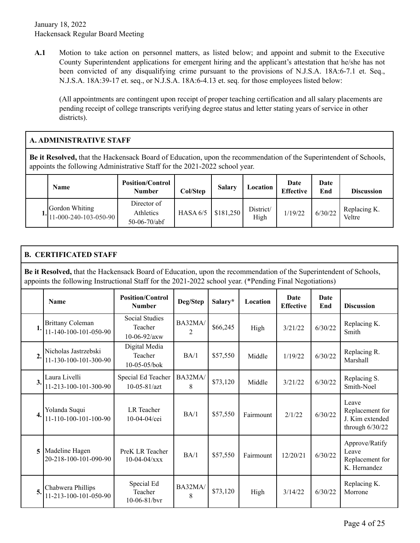**A.1** Motion to take action on personnel matters, as listed below; and appoint and submit to the Executive County Superintendent applications for emergent hiring and the applicant's attestation that he/she has not been convicted of any disqualifying crime pursuant to the provisions of N.J.S.A. 18A:6-7.1 et. Seq., N.J.S.A. 18A:39-17 et. seq., or N.J.S.A. 18A:6-4.13 et. seq. for those employees listed below:

(All appointments are contingent upon receipt of proper teaching certification and all salary placements are pending receipt of college transcripts verifying degree status and letter stating years of service in other districts).

# **A. ADMINISTRATIVE STAFF**

**Be it Resolved,** that the Hackensack Board of Education, upon the recommendation of the Superintendent of Schools, appoints the following Administrative Staff for the 2021-2022 school year.

| <b>Name</b>                               | <b>Position/Control</b><br><b>Number</b>   | Col/Step   | <b>Salary</b> | Location          | Date<br><b>Effective</b> | Date<br>End | <b>Discussion</b>      |
|-------------------------------------------|--------------------------------------------|------------|---------------|-------------------|--------------------------|-------------|------------------------|
| Gordon Whiting<br>$11-000-240-103-050-90$ | Director of<br>Athletics<br>$50-06-70/abf$ | HASA $6/5$ | \$181,250     | District/<br>High | 1/19/22                  | 6/30/22     | Replacing K.<br>Veltre |

# **B. CERTIFICATED STAFF**

**Be it Resolved,** that the Hackensack Board of Education, upon the recommendation of the Superintendent of Schools, appoints the following Instructional Staff for the 2021-2022 school year. (\*Pending Final Negotiations)

|                  | <b>Name</b>                                      | <b>Position/Control</b><br><b>Number</b>        | Deg/Step                  | Salary*                                  | Location  | Date<br><b>Effective</b> | <b>Date</b><br>End | <b>Discussion</b>                                                |
|------------------|--------------------------------------------------|-------------------------------------------------|---------------------------|------------------------------------------|-----------|--------------------------|--------------------|------------------------------------------------------------------|
| 1.               | <b>Brittany Coleman</b><br>11-140-100-101-050-90 | Social Studies<br>Teacher<br>$10 - 06 - 92/axw$ | BA32MA/<br>$\overline{2}$ | \$66,245                                 | High      | 3/21/22                  | 6/30/22            | Replacing K.<br>Smith                                            |
| $\overline{2}$ . | Nicholas Jastrzebski<br>11-130-100-101-300-90    | Digital Media<br>Teacher<br>10-05-05/bok        | BA/1                      | \$57,550<br>6/30/22<br>1/19/22<br>Middle |           | Replacing R.<br>Marshall |                    |                                                                  |
| 3.               | Laura Livelli<br>11-213-100-101-300-90           | Special Ed Teacher<br>$10 - 05 - 81/azt$        | BA32MA/<br>8              | \$73,120                                 | Middle    | 3/21/22                  | 6/30/22            | Replacing S.<br>Smith-Noel                                       |
| 4.               | Yolanda Suqui<br>11-110-100-101-100-90           | <b>LR</b> Teacher<br>$10-04-04$ /cei            | BA/1                      | \$57,550                                 | Fairmount | 2/1/22                   | 6/30/22            | Leave<br>Replacement for<br>J. Kim extended<br>through $6/30/22$ |
| 5                | Madeline Hagen<br>20-218-100-101-090-90          | PreK LR Teacher<br>$10-04-04/xxx$               | BA/1                      | \$57,550                                 | Fairmount | 12/20/21                 | 6/30/22            | Approve/Ratify<br>Leave<br>Replacement for<br>K. Hernandez       |
| 5.               | Chabwera Phillips<br>11-213-100-101-050-90       | Special Ed<br>Teacher<br>$10-06-81/bvr$         | BA32MA/<br>8              | \$73,120                                 | High      | 3/14/22                  | 6/30/22            | Replacing K.<br>Morrone                                          |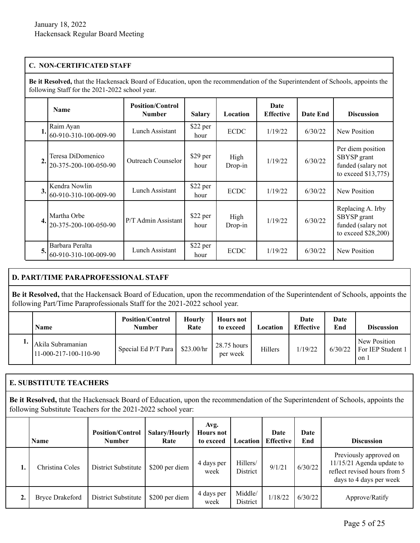## **C. NON-CERTIFICATED STAFF**

**Be it Resolved,** that the Hackensack Board of Education, upon the recommendation of the Superintendent of Schools, appoints the following Staff for the 2021-2022 school year.

|    | <b>Name</b>                                | <b>Position/Control</b><br><b>Number</b> | <b>Salary</b>    | Location          | Date<br><b>Effective</b> | Date End | <b>Discussion</b>                                                             |
|----|--------------------------------------------|------------------------------------------|------------------|-------------------|--------------------------|----------|-------------------------------------------------------------------------------|
| 1. | Raim Ayan<br>60-910-310-100-009-90         | Lunch Assistant                          | \$22 per<br>hour | <b>ECDC</b>       | 1/19/22                  | 6/30/22  | New Position                                                                  |
| 2. | Teresa DiDomenico<br>20-375-200-100-050-90 | <b>Outreach Counselor</b>                | \$29 per<br>hour | High<br>$Drop-in$ | 1/19/22                  | 6/30/22  | Per diem position<br>SBYSP grant<br>funded (salary not<br>to exceed \$13,775) |
| 3. | Kendra Nowlin<br>60-910-310-100-009-90     | Lunch Assistant                          | \$22 per<br>hour | <b>ECDC</b>       | 1/19/22                  | 6/30/22  | New Position                                                                  |
| 4. | Martha Orbe<br>20-375-200-100-050-90       | P/T Admin Assistant                      | \$22 per<br>hour | High<br>$Drop-in$ | 1/19/22                  | 6/30/22  | Replacing A. Irby<br>SBYSP grant<br>funded (salary not<br>to exceed \$28,200) |
| 5. | Barbara Peralta<br>60-910-310-100-009-90   | Lunch Assistant                          | \$22 per<br>hour | <b>ECDC</b>       | 1/19/22                  | 6/30/22  | New Position                                                                  |

# **D. PART/TIME PARAPROFESSIONAL STAFF**

**Be it Resolved,** that the Hackensack Board of Education, upon the recommendation of the Superintendent of Schools, appoints the following Part/Time Paraprofessionals Staff for the 2021-2022 school year.

| <b>Name</b>                                | <b>Position/Control</b><br><b>Number</b> | <b>Hourly</b><br>Rate | <b>Hours</b> not<br>to exceed | Location | Date<br><b>Effective</b> | Date<br>End | <b>Discussion</b>                           |
|--------------------------------------------|------------------------------------------|-----------------------|-------------------------------|----------|--------------------------|-------------|---------------------------------------------|
| Akila Subramanian<br>11-000-217-100-110-90 | Special Ed P/T Para                      | \$23.00/hr            | 28.75 hours<br>per week       | Hillers  | 1/19/22                  | 6/30/22     | New Position<br>For IEP Student 1<br>' on 1 |

# **E. SUBSTITUTE TEACHERS**

**Be it Resolved,** that the Hackensack Board of Education, upon the recommendation of the Superintendent of Schools, appoints the following Substitute Teachers for the 2021-2022 school year:

|    | <b>Name</b>            | <b>Position/Control</b><br><b>Number</b> | Salary/Hourly<br>Rate | Avg.<br><b>Hours not</b><br>to exceed | Location             | Date<br><b>Effective</b> | Date<br>End | <b>Discussion</b>                                                                                                |
|----|------------------------|------------------------------------------|-----------------------|---------------------------------------|----------------------|--------------------------|-------------|------------------------------------------------------------------------------------------------------------------|
| ı. | Christina Coles        | District Substitute                      | \$200 per diem        | 4 days per<br>week                    | Hillers/<br>District | 9/1/21                   | 6/30/22     | Previously approved on<br>$11/15/21$ Agenda update to<br>reflect revised hours from 5<br>days to 4 days per week |
|    | <b>Bryce Drakeford</b> | District Substitute                      | \$200 per diem        | 4 days per<br>week                    | Middle/<br>District  | 1/18/22                  | 6/30/22     | Approve/Ratify                                                                                                   |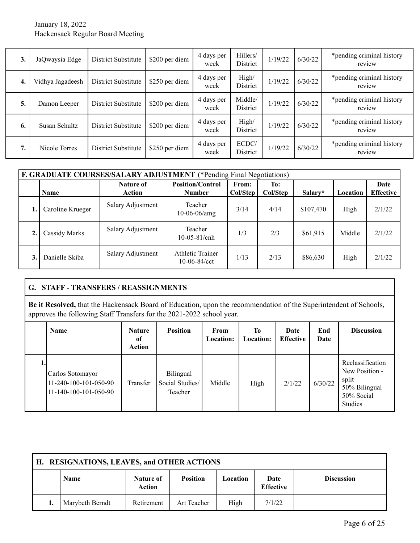## January 18, 2022 Hackensack Regular Board Meeting

| 3. | JaQwaysia Edge   | District Substitute        | \$200 per diem | 4 days per<br>week | Hillers/<br><b>District</b> | 1/19/22 | 6/30/22 | *pending criminal history<br>review |
|----|------------------|----------------------------|----------------|--------------------|-----------------------------|---------|---------|-------------------------------------|
| 4. | Vidhya Jagadeesh | <b>District Substitute</b> | \$250 per diem | 4 days per<br>week | High/<br><b>District</b>    | 1/19/22 | 6/30/22 | *pending criminal history<br>review |
| 5. | Damon Leeper     | District Substitute        | \$200 per diem | 4 days per<br>week | Middle/<br><b>District</b>  | 1/19/22 | 6/30/22 | *pending criminal history<br>review |
| 6. | Susan Schultz    | District Substitute        | \$200 per diem | 4 days per<br>week | High/<br><b>District</b>    | 1/19/22 | 6/30/22 | *pending criminal history<br>review |
| ., | Nicole Torres    | District Substitute        | \$250 per diem | 4 days per<br>week | ECDC/<br><b>District</b>    | 1/19/22 | 6/30/22 | *pending criminal history<br>review |

|    | <b>F. GRADUATE COURSES/SALARY ADJUSTMENT</b> (*Pending Final Negotiations) |                     |                                                  |                   |                 |           |          |                          |  |  |  |  |
|----|----------------------------------------------------------------------------|---------------------|--------------------------------------------------|-------------------|-----------------|-----------|----------|--------------------------|--|--|--|--|
|    | <b>Name</b>                                                                | Nature of<br>Action | <b>Position/Control</b><br><b>Number</b>         | From:<br>Col/Step | To:<br>Col/Step | Salary*   | Location | Date<br><b>Effective</b> |  |  |  |  |
|    | Caroline Krueger                                                           | Salary Adjustment   | Teacher<br>$10-06-06/amg$                        | 3/14              | 4/14            | \$107,470 | High     | 2/1/22                   |  |  |  |  |
| 2. | <b>Cassidy Marks</b>                                                       | Salary Adjustment   | Teacher<br>$10-05-81/cnh$                        | 1/3               | 2/3             | \$61,915  | Middle   | 2/1/22                   |  |  |  |  |
| 3. | Danielle Skiba                                                             | Salary Adjustment   | <b>Athletic Trainer</b><br>$10-06-84/\text{cct}$ | 1/13              | 2/13            | \$86,630  | High     | 2/1/22                   |  |  |  |  |

## **G. STAFF - TRANSFERS / REASSIGNMENTS**

**Be it Resolved,** that the Hackensack Board of Education, upon the recommendation of the Superintendent of Schools, approves the following Staff Transfers for the 2021-2022 school year.

| <b>Name</b>                                                        | <b>Nature</b><br>of<br>Action | <b>Position</b>                         | From<br><b>Location:</b> | Tо<br><b>Location:</b> | Date<br><b>Effective</b> | End<br>Date | <b>Discussion</b>                                                                     |
|--------------------------------------------------------------------|-------------------------------|-----------------------------------------|--------------------------|------------------------|--------------------------|-------------|---------------------------------------------------------------------------------------|
| Carlos Sotomayor<br>11-240-100-101-050-90<br>11-140-100-101-050-90 | Transfer                      | Bilingual<br>Social Studies/<br>Teacher | Middle                   | High                   | 2/1/22                   | 6/30/22     | Reclassification<br>New Position -<br>split<br>50% Bilingual<br>50% Social<br>Studies |

| H. RESIGNATIONS, LEAVES, and OTHER ACTIONS |                 |                            |                 |          |                          |                   |
|--------------------------------------------|-----------------|----------------------------|-----------------|----------|--------------------------|-------------------|
|                                            | Name            | Nature of<br><b>Action</b> | <b>Position</b> | Location | Date<br><b>Effective</b> | <b>Discussion</b> |
|                                            | Marybeth Berndt | Retirement                 | Art Teacher     | High     | 7/1/22                   |                   |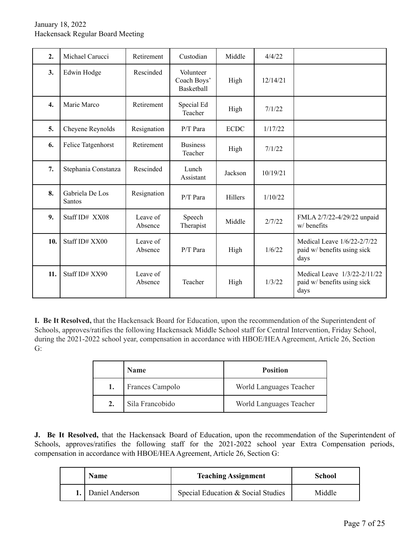| 2.               | Michael Carucci           | Retirement          | Custodian                              | Middle      | 4/4/22   |                                                                     |
|------------------|---------------------------|---------------------|----------------------------------------|-------------|----------|---------------------------------------------------------------------|
| 3.               | Edwin Hodge               | Rescinded           | Volunteer<br>Coach Boys'<br>Basketball | High        | 12/14/21 |                                                                     |
| $\overline{4}$ . | Marie Marco               | Retirement          | Special Ed<br>Teacher                  | High        | 7/1/22   |                                                                     |
| 5.               | Cheyene Reynolds          | Resignation         | P/T Para                               | <b>ECDC</b> | 1/17/22  |                                                                     |
| 6.               | Felice Tatgenhorst        | Retirement          | <b>Business</b><br>Teacher             | High        | 7/1/22   |                                                                     |
| 7.               | Stephania Constanza       | Rescinded           | Lunch<br>Assistant                     | Jackson     | 10/19/21 |                                                                     |
| 8.               | Gabriela De Los<br>Santos | Resignation         | $P/T$ Para                             | Hillers     | 1/10/22  |                                                                     |
| 9.               | Staff ID# XX08            | Leave of<br>Absence | Speech<br>Therapist                    | Middle      | 2/7/22   | FMLA 2/7/22-4/29/22 unpaid<br>w/benefits                            |
| 10.              | Staff ID# XX00            | Leave of<br>Absence | $P/T$ Para                             | High        | 1/6/22   | Medical Leave 1/6/22-2/7/22<br>paid w/ benefits using sick<br>days  |
| 11.              | Staff ID# XX90            | Leave of<br>Absence | Teacher                                | High        | 1/3/22   | Medical Leave 1/3/22-2/11/22<br>paid w/ benefits using sick<br>days |

**I. Be It Resolved,** that the Hackensack Board for Education, upon the recommendation of the Superintendent of Schools, approves/ratifies the following Hackensack Middle School staff for Central Intervention, Friday School, during the 2021-2022 school year, compensation in accordance with HBOE/HEA Agreement, Article 26, Section G:

| <b>Name</b>     | <b>Position</b>         |
|-----------------|-------------------------|
| Frances Campolo | World Languages Teacher |
| Sila Francobido | World Languages Teacher |

**J. Be It Resolved,** that the Hackensack Board of Education, upon the recommendation of the Superintendent of Schools, approves/ratifies the following staff for the 2021-2022 school year Extra Compensation periods, compensation in accordance with HBOE/HEA Agreement, Article 26, Section G:

| <b>Name</b>          | <b>Teaching Assignment</b>         | School |
|----------------------|------------------------------------|--------|
| 1.   Daniel Anderson | Special Education & Social Studies | Middle |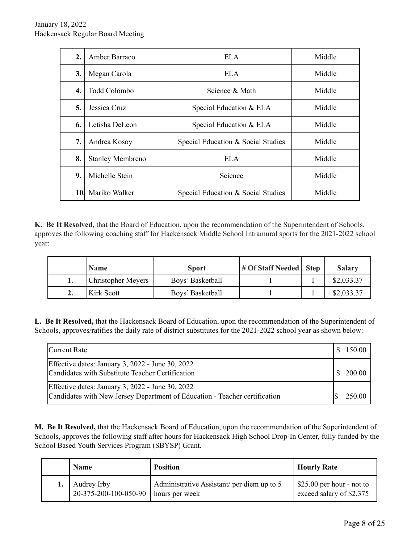| 2.               | Amber Barraco           | ELA.                               | Middle |
|------------------|-------------------------|------------------------------------|--------|
| 3.               | Megan Carola            | ELA.                               | Middle |
| $\overline{4}$ . | Todd Colombo            | Science & Math                     | Middle |
| 5.               | Jessica Cruz            | Special Education & ELA            | Middle |
| 6.               | Letisha DeLeon          | Special Education & ELA            | Middle |
| 7.               | Andrea Kosoy            | Special Education & Social Studies | Middle |
| 8.               | <b>Stanley Membreno</b> | <b>ELA</b>                         | Middle |
| 9.               | Michelle Stein          | Science                            | Middle |
| 10.              | Mariko Walker           | Special Education & Social Studies | Middle |

**K. Be It Resolved,** that the Board of Education, upon the recommendation of the Superintendent of Schools, approves the following coaching staff for Hackensack Middle School Intramural sports for the 2021-2022 school year:

|     | <b>Name</b>               | <b>Sport</b>     | # Of Staff Needed   Step | <b>Salary</b> |
|-----|---------------------------|------------------|--------------------------|---------------|
|     | <b>Christopher Meyers</b> | Boys' Basketball |                          | \$2,033.37    |
| ـ ـ | Kirk Scott                | Boys' Basketball |                          | \$2,033.37    |

**L. Be It Resolved,** that the Hackensack Board of Education, upon the recommendation of the Superintendent of Schools, approves/ratifies the daily rate of district substitutes for the 2021-2022 school year as shown below:

| Current Rate                                                                                                                   | 150.00 |
|--------------------------------------------------------------------------------------------------------------------------------|--------|
| Effective dates: January 3, 2022 - June 30, 2022<br>Candidates with Substitute Teacher Certification                           | 200.00 |
| Effective dates: January 3, 2022 - June 30, 2022<br>Candidates with New Jersey Department of Education - Teacher certification | 250.00 |

**M. Be It Resolved,** that the Hackensack Board of Education, upon the recommendation of the Superintendent of Schools, approves the following staff after hours for Hackensack High School Drop-In Center, fully funded by the School Based Youth Services Program (SBYSP) Grant.

| <b>Name</b>                          | <b>Position</b>                                              | <b>Hourly Rate</b>                                              |
|--------------------------------------|--------------------------------------------------------------|-----------------------------------------------------------------|
| Audrey Irby<br>20-375-200-100-050-90 | Administrative Assistant/ per diem up to 5<br>hours per week | $\frac{25.00}{2}$ per hour - not to<br>exceed salary of \$2,375 |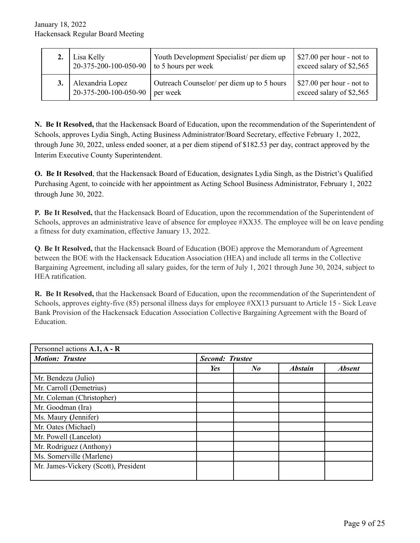| Lisa Kelly<br>$120-375-200-100-050-90$ to 5 hours per week | Youth Development Specialist/ per diem up  | $\frac{27.00}{2}$ per hour - not to<br>exceed salary of \$2,565 |
|------------------------------------------------------------|--------------------------------------------|-----------------------------------------------------------------|
| Alexandria Lopez                                           | Outreach Counselor/ per diem up to 5 hours | $\frac{1}{2}$ \$27.00 per hour - not to                         |
| 20-375-200-100-050-90                                      | per week                                   | exceed salary of \$2,565                                        |

**N. Be It Resolved,** that the Hackensack Board of Education, upon the recommendation of the Superintendent of Schools, approves Lydia Singh, Acting Business Administrator/Board Secretary, effective February 1, 2022, through June 30, 2022, unless ended sooner, at a per diem stipend of \$182.53 per day, contract approved by the Interim Executive County Superintendent.

**O. Be It Resolved**, that the Hackensack Board of Education, designates Lydia Singh, as the District's Qualified Purchasing Agent, to coincide with her appointment as Acting School Business Administrator, February 1, 2022 through June 30, 2022.

**P. Be It Resolved,** that the Hackensack Board of Education, upon the recommendation of the Superintendent of Schools, approves an administrative leave of absence for employee #XX35. The employee will be on leave pending a fitness for duty examination, effective January 13, 2022.

**Q**. **Be It Resolved,** that the Hackensack Board of Education (BOE) approve the Memorandum of Agreement between the BOE with the Hackensack Education Association (HEA) and include all terms in the Collective Bargaining Agreement, including all salary guides, for the term of July 1, 2021 through June 30, 2024, subject to HEA ratification.

**R. Be It Resolved,** that the Hackensack Board of Education, upon the recommendation of the Superintendent of Schools, approves eighty-five (85) personal illness days for employee #XX13 pursuant to Article 15 - Sick Leave Bank Provision of the Hackensack Education Association Collective Bargaining Agreement with the Board of Education.

| Personnel actions A.1, A - R         |                        |                      |                |               |  |  |
|--------------------------------------|------------------------|----------------------|----------------|---------------|--|--|
| <b>Motion: Trustee</b>               | <b>Second: Trustee</b> |                      |                |               |  |  |
|                                      | Yes                    | $N_{\boldsymbol{0}}$ | <b>Abstain</b> | <b>Absent</b> |  |  |
| Mr. Bendezu (Julio)                  |                        |                      |                |               |  |  |
| Mr. Carroll (Demetrius)              |                        |                      |                |               |  |  |
| Mr. Coleman (Christopher)            |                        |                      |                |               |  |  |
| Mr. Goodman (Ira)                    |                        |                      |                |               |  |  |
| Ms. Maury (Jennifer)                 |                        |                      |                |               |  |  |
| Mr. Oates (Michael)                  |                        |                      |                |               |  |  |
| Mr. Powell (Lancelot)                |                        |                      |                |               |  |  |
| Mr. Rodriguez (Anthony)              |                        |                      |                |               |  |  |
| Ms. Somerville (Marlene)             |                        |                      |                |               |  |  |
| Mr. James-Vickery (Scott), President |                        |                      |                |               |  |  |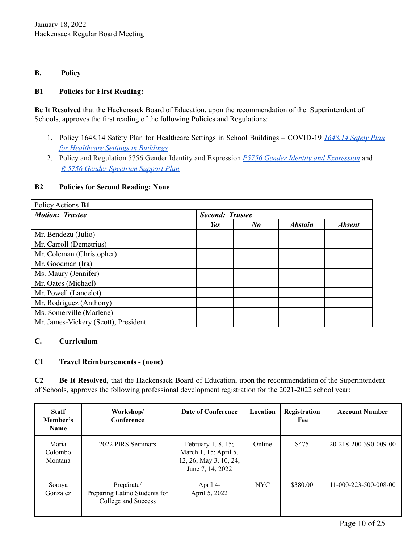## **B. Policy**

## **B1 Policies for First Reading:**

**Be It Resolved** that the Hackensack Board of Education, upon the recommendation of the Superintendent of Schools, approves the first reading of the following Policies and Regulations:

- 1. Policy 1648.14 Safety Plan for Healthcare Settings in School Buildings COVID-19 *[1648.14](https://drive.google.com/file/d/1-iohDRjmO_pxvKamtFRnpFd5gwAB1dit/view?usp=sharing) Safety Plan for [Healthcare](https://drive.google.com/file/d/1-iohDRjmO_pxvKamtFRnpFd5gwAB1dit/view?usp=sharing) Settings in Buildings*
- 2. Policy and Regulation 5756 Gender Identity and Expression *P5756 Gender Identity and [Expression](https://drive.google.com/file/d/1xKqrNvzyelrzVZWy45FdCOViLEXSYYhW/view?usp=sharing)* and *R 5756 Gender [Spectrum](https://drive.google.com/file/d/1DkKFpWO8A5feeV6nwUNGGKrK3AMqAf32/view?usp=sharing) Support Plan*

#### **B2 Policies for Second Reading: None**

| Policy Actions B1                    |                        |            |                |               |  |
|--------------------------------------|------------------------|------------|----------------|---------------|--|
| <b>Motion: Trustee</b>               | <b>Second: Trustee</b> |            |                |               |  |
|                                      | Yes                    | $\bm{N}$ o | <b>Abstain</b> | <b>Absent</b> |  |
| Mr. Bendezu (Julio)                  |                        |            |                |               |  |
| Mr. Carroll (Demetrius)              |                        |            |                |               |  |
| Mr. Coleman (Christopher)            |                        |            |                |               |  |
| Mr. Goodman (Ira)                    |                        |            |                |               |  |
| Ms. Maury (Jennifer)                 |                        |            |                |               |  |
| Mr. Oates (Michael)                  |                        |            |                |               |  |
| Mr. Powell (Lancelot)                |                        |            |                |               |  |
| Mr. Rodriguez (Anthony)              |                        |            |                |               |  |
| Ms. Somerville (Marlene)             |                        |            |                |               |  |
| Mr. James-Vickery (Scott), President |                        |            |                |               |  |

# **C. Curriculum**

## **C1 Travel Reimbursements - (none)**

**C2 Be It Resolved**, that the Hackensack Board of Education, upon the recommendation of the Superintendent of Schools, approves the following professional development registration for the 2021-2022 school year:

| <b>Staff</b><br>Member's<br><b>Name</b> | Workshop/<br>Conference                                            | Date of Conference                                                                           | Location   | Registration<br>Fee | <b>Account Number</b>             |
|-----------------------------------------|--------------------------------------------------------------------|----------------------------------------------------------------------------------------------|------------|---------------------|-----------------------------------|
| Maria<br>Colombo<br>Montana             | 2022 PIRS Seminars                                                 | February $1, 8, 15$ ;<br>March 1, 15; April 5,<br>12, 26; May 3, 10, 24;<br>June 7, 14, 2022 | Online     | \$475               | 20-218-200-390-009-00             |
| Soraya<br>Gonzalez                      | Prepárate/<br>Preparing Latino Students for<br>College and Success | April 4-<br>April 5, 2022                                                                    | <b>NYC</b> | \$380.00            | $11 - 000 - 223 - 500 - 008 - 00$ |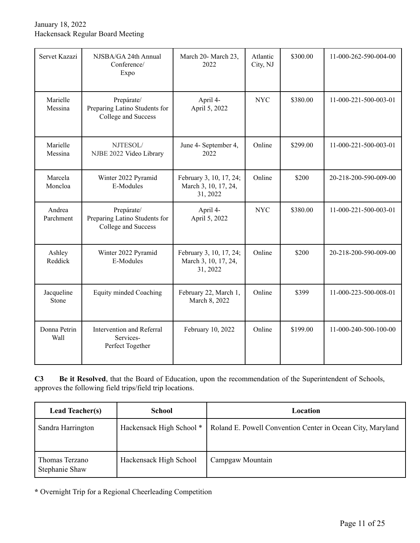January 18, 2022 Hackensack Regular Board Meeting

| Servet Kazazi        | NJSBA/GA 24th Annual<br>Conference/<br>Expo                        | March 20- March 23,<br>2022                                 | Atlantic<br>City, NJ | \$300.00 | 11-000-262-590-004-00 |
|----------------------|--------------------------------------------------------------------|-------------------------------------------------------------|----------------------|----------|-----------------------|
| Marielle<br>Messina  | Prepárate/<br>Preparing Latino Students for<br>College and Success | April 4-<br>April 5, 2022                                   | <b>NYC</b>           | \$380.00 | 11-000-221-500-003-01 |
| Marielle<br>Messina  | NJTESOL/<br>NJBE 2022 Video Library                                | June 4- September 4,<br>2022                                | Online               | \$299.00 | 11-000-221-500-003-01 |
| Marcela<br>Moncloa   | Winter 2022 Pyramid<br>E-Modules                                   | February 3, 10, 17, 24;<br>March 3, 10, 17, 24,<br>31, 2022 | Online               | \$200    | 20-218-200-590-009-00 |
| Andrea<br>Parchment  | Prepárate/<br>Preparing Latino Students for<br>College and Success | April 4-<br>April 5, 2022                                   | <b>NYC</b>           | \$380.00 | 11-000-221-500-003-01 |
| Ashley<br>Reddick    | Winter 2022 Pyramid<br>E-Modules                                   | February 3, 10, 17, 24;<br>March 3, 10, 17, 24,<br>31, 2022 | Online               | \$200    | 20-218-200-590-009-00 |
| Jacqueline<br>Stone  | Equity minded Coaching                                             | February 22, March 1,<br>March 8, 2022                      | Online               | \$399    | 11-000-223-500-008-01 |
| Donna Petrin<br>Wall | Intervention and Referral<br>Services-<br>Perfect Together         | February 10, 2022                                           | Online               | \$199.00 | 11-000-240-500-100-00 |

**C3 Be it Resolved**, that the Board of Education, upon the recommendation of the Superintendent of Schools, approves the following field trips/field trip locations.

| <b>Lead Teacher(s)</b>           | <b>School</b>            | Location                                                   |
|----------------------------------|--------------------------|------------------------------------------------------------|
| Sandra Harrington                | Hackensack High School * | Roland E. Powell Convention Center in Ocean City, Maryland |
| Thomas Terzano<br>Stephanie Shaw | Hackensack High School   | Campgaw Mountain                                           |

**\*** Overnight Trip for a Regional Cheerleading Competition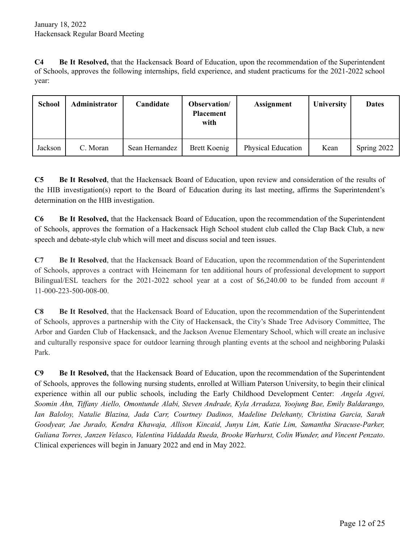**C4 Be It Resolved,** that the Hackensack Board of Education, upon the recommendation of the Superintendent of Schools, approves the following internships, field experience, and student practicums for the 2021-2022 school year:

| <b>School</b> | Administrator | Candidate      | Observation/<br><b>Placement</b><br>with | <b>Assignment</b>         | University | <b>Dates</b> |
|---------------|---------------|----------------|------------------------------------------|---------------------------|------------|--------------|
| Jackson       | C. Moran      | Sean Hernandez | Brett Koenig                             | <b>Physical Education</b> | Kean       | Spring 2022  |

**C5 Be It Resolved**, that the Hackensack Board of Education, upon review and consideration of the results of the HIB investigation(s) report to the Board of Education during its last meeting, affirms the Superintendent's determination on the HIB investigation.

**C6 Be It Resolved,** that the Hackensack Board of Education, upon the recommendation of the Superintendent of Schools, approves the formation of a Hackensack High School student club called the Clap Back Club, a new speech and debate-style club which will meet and discuss social and teen issues.

**C7 Be It Resolved**, that the Hackensack Board of Education, upon the recommendation of the Superintendent of Schools, approves a contract with Heinemann for ten additional hours of professional development to support Bilingual/ESL teachers for the 2021-2022 school year at a cost of \$6,240.00 to be funded from account # 11-000-223-500-008-00.

**C8 Be It Resolved**, that the Hackensack Board of Education, upon the recommendation of the Superintendent of Schools, approves a partnership with the City of Hackensack, the City's Shade Tree Advisory Committee, The Arbor and Garden Club of Hackensack, and the Jackson Avenue Elementary School, which will create an inclusive and culturally responsive space for outdoor learning through planting events at the school and neighboring Pulaski Park.

**C9 Be It Resolved,** that the Hackensack Board of Education, upon the recommendation of the Superintendent of Schools, approves the following nursing students, enrolled at William Paterson University, to begin their clinical experience within all our public schools, including the Early Childhood Development Center: *Angela Agyei, Soomin Ahn, Tif any Aiello, Omontunde Alabi, Steven Andrade, Kyla Arradaza, Yoojung Bae, Emily Baldarango, Ian Baloloy, Natalie Blazina, Jada Carr, Courtney Dadinos, Madeline Delehanty, Christina Garcia, Sarah Goodyear, Jae Jurado, Kendra Khawaja, Allison Kincaid, Junyu Lim, Katie Lim, Samantha Siracuse-Parker, Guliana Torres, Janzen Velasco, Valentina Viddadda Rueda, Brooke Warhurst, Colin Wunder, and Vincent Penzato*. Clinical experiences will begin in January 2022 and end in May 2022.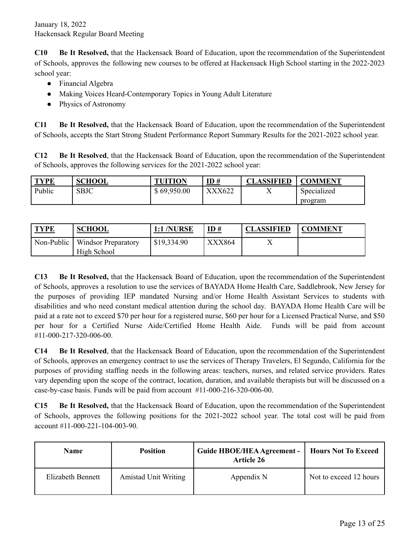**C10 Be It Resolved,** that the Hackensack Board of Education, upon the recommendation of the Superintendent of Schools, approves the following new courses to be offered at Hackensack High School starting in the 2022-2023 school year:

- Financial Algebra
- Making Voices Heard-Contemporary Topics in Young Adult Literature
- Physics of Astronomy

**C11 Be It Resolved,** that the Hackensack Board of Education, upon the recommendation of the Superintendent of Schools, accepts the Start Strong Student Performance Report Summary Results for the 2021-2022 school year.

**C12 Be It Resolved**, that the Hackensack Board of Education, upon the recommendation of the Superintendent of Schools, approves the following services for the 2021-2022 school year:

| <b>TYPE</b> | <b>SCHOOL</b> | <b>TUITION</b> | $\underline{\mathbf{ID}}$ # | <b>CLASSIFIED</b> | <b>COMMENT</b> |
|-------------|---------------|----------------|-----------------------------|-------------------|----------------|
| Public      | SBJC          | \$69,950.00    | XXX622                      | ∡⊾                | Specialized    |
|             |               |                |                             |                   | program        |

| <b>TYPE</b> | <b>SCHOOL</b>                             | <b>1:1 /NURSE</b> | $\underline{\mathbf{ID}}$ # | <b>CLASSIFIED</b> | <b>COMMENT</b> |
|-------------|-------------------------------------------|-------------------|-----------------------------|-------------------|----------------|
| Non-Public  | <b>Windsor Preparatory</b><br>High School | \$19,334.90       | XXX864                      |                   |                |

**C13 Be It Resolved,** that the Hackensack Board of Education, upon the recommendation of the Superintendent of Schools, approves a resolution to use the services of BAYADA Home Health Care, Saddlebrook, New Jersey for the purposes of providing IEP mandated Nursing and/or Home Health Assistant Services to students with disabilities and who need constant medical attention during the school day. BAYADA Home Health Care will be paid at a rate not to exceed \$70 per hour for a registered nurse, \$60 per hour for a Licensed Practical Nurse, and \$50 per hour for a Certified Nurse Aide/Certified Home Health Aide. Funds will be paid from account #11-000-217-320-006-00.

**C14 Be It Resolved**, that the Hackensack Board of Education, upon the recommendation of the Superintendent of Schools, approves an emergency contract to use the services of Therapy Travelers, El Segundo, California for the purposes of providing staffing needs in the following areas: teachers, nurses, and related service providers. Rates vary depending upon the scope of the contract, location, duration, and available therapists but will be discussed on a case-by-case basis. Funds will be paid from account #11-000-216-320-006-00.

**C15 Be It Resolved,** that the Hackensack Board of Education, upon the recommendation of the Superintendent of Schools, approves the following positions for the 2021-2022 school year. The total cost will be paid from account #11-000-221-104-003-90.

| <b>Name</b>       | <b>Position</b>             | <b>Guide HBOE/HEA Agreement -</b><br>Article 26 | <b>Hours Not To Exceed</b> |
|-------------------|-----------------------------|-------------------------------------------------|----------------------------|
| Elizabeth Bennett | <b>Amistad Unit Writing</b> | Appendix N                                      | Not to exceed 12 hours     |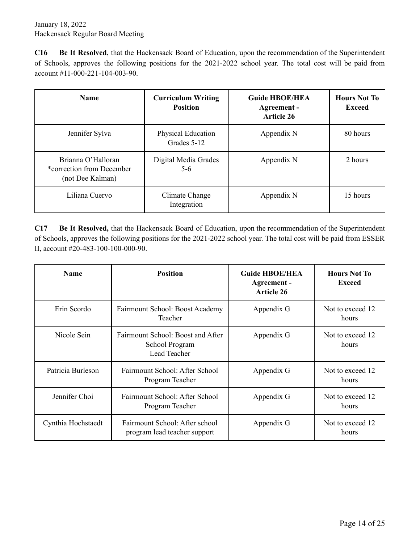**C16 Be It Resolved**, that the Hackensack Board of Education, upon the recommendation of the Superintendent of Schools, approves the following positions for the 2021-2022 school year. The total cost will be paid from account #11-000-221-104-003-90.

| <b>Name</b>                                                         | <b>Curriculum Writing</b><br><b>Position</b> | <b>Guide HBOE/HEA</b><br>Agreement -<br><b>Article 26</b> | <b>Hours Not To</b><br>Exceed |
|---------------------------------------------------------------------|----------------------------------------------|-----------------------------------------------------------|-------------------------------|
| Jennifer Sylva                                                      | <b>Physical Education</b><br>Grades 5-12     | Appendix N                                                | 80 hours                      |
| Brianna O'Halloran<br>*correction from December<br>(not Dee Kalman) | Digital Media Grades<br>$5-6$                | Appendix N                                                | 2 hours                       |
| Liliana Cuervo                                                      | Climate Change<br>Integration                | Appendix N                                                | 15 hours                      |

**C17 Be It Resolved,** that the Hackensack Board of Education, upon the recommendation of the Superintendent of Schools, approves the following positions for the 2021-2022 school year. The total cost will be paid from ESSER II, account #20-483-100-100-000-90.

| <b>Name</b>        | <b>Position</b>                                                     | <b>Guide HBOE/HEA</b><br>Agreement -<br><b>Article 26</b> | <b>Hours Not To</b><br>Exceed |
|--------------------|---------------------------------------------------------------------|-----------------------------------------------------------|-------------------------------|
| Erin Scordo        | Fairmount School: Boost Academy<br>Teacher                          | Appendix G                                                | Not to exceed 12<br>hours     |
| Nicole Sein        | Fairmount School: Boost and After<br>School Program<br>Lead Teacher | Appendix G                                                | Not to exceed 12<br>hours     |
| Patricia Burleson  | Fairmount School: After School<br>Program Teacher                   | Appendix G                                                | Not to exceed 12<br>hours     |
| Jennifer Choi      | Fairmount School: After School<br>Program Teacher                   | Appendix G                                                | Not to exceed 12<br>hours     |
| Cynthia Hochstaedt | Fairmount School: After school<br>program lead teacher support      | Appendix G                                                | Not to exceed 12<br>hours     |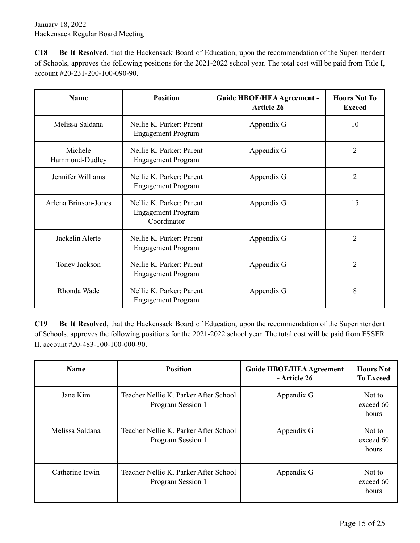**C18 Be It Resolved**, that the Hackensack Board of Education, upon the recommendation of the Superintendent of Schools, approves the following positions for the 2021-2022 school year. The total cost will be paid from Title I, account #20-231-200-100-090-90.

| <b>Name</b>               | <b>Position</b>                                                    | <b>Guide HBOE/HEA Agreement -</b><br><b>Article 26</b> | <b>Hours Not To</b><br><b>Exceed</b> |
|---------------------------|--------------------------------------------------------------------|--------------------------------------------------------|--------------------------------------|
| Melissa Saldana           | Nellie K. Parker: Parent<br><b>Engagement Program</b>              | Appendix G                                             | 10                                   |
| Michele<br>Hammond-Dudley | Nellie K. Parker: Parent<br><b>Engagement Program</b>              | Appendix G                                             | $\overline{2}$                       |
| Jennifer Williams         | Nellie K Parker Parent<br><b>Engagement Program</b>                | Appendix G                                             | $\overline{2}$                       |
| Arlena Brinson-Jones      | Nellie K Parker Parent<br><b>Engagement Program</b><br>Coordinator | Appendix G                                             | 15                                   |
| Jackelin Alerte           | Nellie K. Parker: Parent<br><b>Engagement Program</b>              | Appendix G                                             | $\overline{2}$                       |
| Toney Jackson             | Nellie K. Parker: Parent<br><b>Engagement Program</b>              | Appendix G                                             | $\overline{2}$                       |
| Rhonda Wade               | Nellie K. Parker: Parent<br><b>Engagement Program</b>              | Appendix G                                             | 8                                    |

**C19 Be It Resolved**, that the Hackensack Board of Education, upon the recommendation of the Superintendent of Schools, approves the following positions for the 2021-2022 school year. The total cost will be paid from ESSER II, account #20-483-100-100-000-90.

| <b>Name</b>     | <b>Position</b>                                            | <b>Guide HBOE/HEA Agreement</b><br>- Article 26 | <b>Hours Not</b><br><b>To Exceed</b> |
|-----------------|------------------------------------------------------------|-------------------------------------------------|--------------------------------------|
| Jane Kim        | Teacher Nellie K. Parker After School<br>Program Session 1 | Appendix G                                      | Not to<br>exceed 60<br>hours         |
| Melissa Saldana | Teacher Nellie K. Parker After School<br>Program Session 1 | Appendix G                                      | Not to<br>exceed 60<br>hours         |
| Catherine Irwin | Teacher Nellie K. Parker After School<br>Program Session 1 | Appendix G                                      | Not to<br>exceed 60<br>hours         |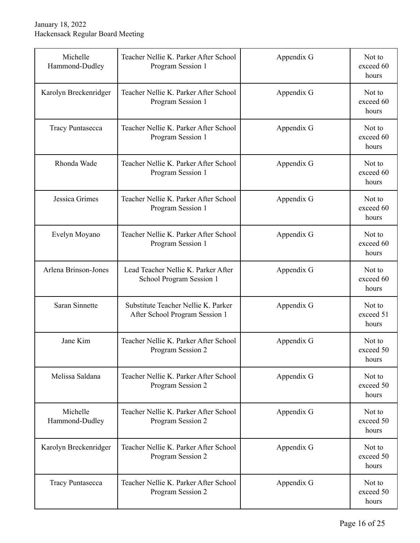| Michelle<br>Hammond-Dudley | Teacher Nellie K. Parker After School<br>Program Session 1            | Appendix G | Not to<br>exceed 60<br>hours |
|----------------------------|-----------------------------------------------------------------------|------------|------------------------------|
| Karolyn Breckenridger      | Teacher Nellie K. Parker After School<br>Program Session 1            | Appendix G | Not to<br>exceed 60<br>hours |
| <b>Tracy Puntasecca</b>    | Teacher Nellie K. Parker After School<br>Program Session 1            | Appendix G | Not to<br>exceed 60<br>hours |
| Rhonda Wade                | Teacher Nellie K. Parker After School<br>Program Session 1            | Appendix G | Not to<br>exceed 60<br>hours |
| Jessica Grimes             | Teacher Nellie K. Parker After School<br>Program Session 1            | Appendix G | Not to<br>exceed 60<br>hours |
| Evelyn Moyano              | Teacher Nellie K. Parker After School<br>Program Session 1            | Appendix G | Not to<br>exceed 60<br>hours |
| Arlena Brinson-Jones       | Lead Teacher Nellie K. Parker After<br>School Program Session 1       | Appendix G | Not to<br>exceed 60<br>hours |
| Saran Sinnette             | Substitute Teacher Nellie K. Parker<br>After School Program Session 1 | Appendix G | Not to<br>exceed 51<br>hours |
| Jane Kim                   | Teacher Nellie K. Parker After School<br>Program Session 2            | Appendix G | Not to<br>exceed 50<br>hours |
| Melissa Saldana            | Teacher Nellie K. Parker After School<br>Program Session 2            | Appendix G | Not to<br>exceed 50<br>hours |
| Michelle<br>Hammond-Dudley | Teacher Nellie K. Parker After School<br>Program Session 2            | Appendix G | Not to<br>exceed 50<br>hours |
| Karolyn Breckenridger      | Teacher Nellie K. Parker After School<br>Program Session 2            | Appendix G | Not to<br>exceed 50<br>hours |
| <b>Tracy Puntasecca</b>    | Teacher Nellie K. Parker After School<br>Program Session 2            | Appendix G | Not to<br>exceed 50<br>hours |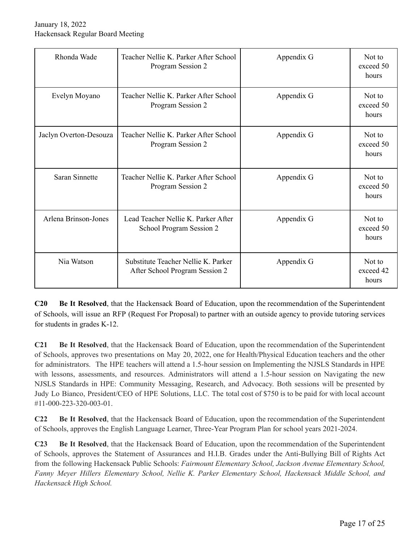| Rhonda Wade            | Teacher Nellie K. Parker After School<br>Program Session 2            | Appendix G | Not to<br>exceed 50<br>hours |
|------------------------|-----------------------------------------------------------------------|------------|------------------------------|
| Evelyn Moyano          | Teacher Nellie K. Parker After School<br>Program Session 2            | Appendix G | Not to<br>exceed 50<br>hours |
| Jaclyn Overton-Desouza | Teacher Nellie K. Parker After School<br>Program Session 2            | Appendix G | Not to<br>exceed 50<br>hours |
| Saran Sinnette         | Teacher Nellie K. Parker After School<br>Program Session 2            | Appendix G | Not to<br>exceed 50<br>hours |
| Arlena Brinson-Jones   | Lead Teacher Nellie K. Parker After<br>School Program Session 2       | Appendix G | Not to<br>exceed 50<br>hours |
| Nia Watson             | Substitute Teacher Nellie K. Parker<br>After School Program Session 2 | Appendix G | Not to<br>exceed 42<br>hours |

**C20 Be It Resolved**, that the Hackensack Board of Education, upon the recommendation of the Superintendent of Schools, will issue an RFP (Request For Proposal) to partner with an outside agency to provide tutoring services for students in grades K-12.

**C21 Be It Resolved**, that the Hackensack Board of Education, upon the recommendation of the Superintendent of Schools, approves two presentations on May 20, 2022, one for Health/Physical Education teachers and the other for administrators. The HPE teachers will attend a 1.5-hour session on Implementing the NJSLS Standards in HPE with lessons, assessments, and resources. Administrators will attend a 1.5-hour session on Navigating the new NJSLS Standards in HPE: Community Messaging, Research, and Advocacy. Both sessions will be presented by Judy Lo Bianco, President/CEO of HPE Solutions, LLC. The total cost of \$750 is to be paid for with local account #11-000-223-320-003-01.

**C22 Be It Resolved**, that the Hackensack Board of Education, upon the recommendation of the Superintendent of Schools, approves the English Language Learner, Three-Year Program Plan for school years 2021-2024.

**C23 Be It Resolved**, that the Hackensack Board of Education, upon the recommendation of the Superintendent of Schools, approves the Statement of Assurances and H.I.B. Grades under the Anti-Bullying Bill of Rights Act from the following Hackensack Public Schools: *Fairmount Elementary School, Jackson Avenue Elementary School, Fanny Meyer Hillers Elementary School, Nellie K. Parker Elementary School, Hackensack Middle School, and Hackensack High School.*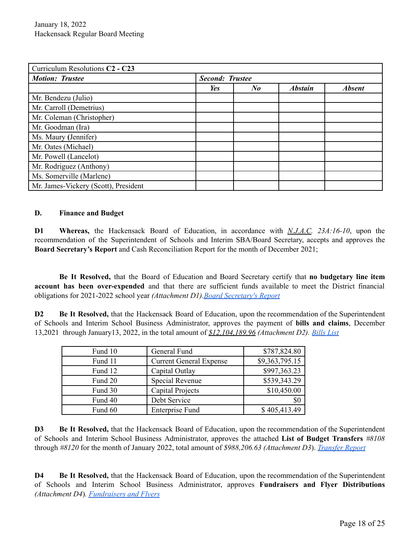| Curriculum Resolutions C2 - C23      |                        |                      |                |               |
|--------------------------------------|------------------------|----------------------|----------------|---------------|
| <b>Motion: Trustee</b>               | <b>Second: Trustee</b> |                      |                |               |
|                                      | Yes                    | $N_{\boldsymbol{0}}$ | <b>Abstain</b> | <b>Absent</b> |
| Mr. Bendezu (Julio)                  |                        |                      |                |               |
| Mr. Carroll (Demetrius)              |                        |                      |                |               |
| Mr. Coleman (Christopher)            |                        |                      |                |               |
| Mr. Goodman (Ira)                    |                        |                      |                |               |
| Ms. Maury (Jennifer)                 |                        |                      |                |               |
| Mr. Oates (Michael)                  |                        |                      |                |               |
| Mr. Powell (Lancelot)                |                        |                      |                |               |
| Mr. Rodriguez (Anthony)              |                        |                      |                |               |
| Ms. Somerville (Marlene)             |                        |                      |                |               |
| Mr. James-Vickery (Scott), President |                        |                      |                |               |

### **D. Finance and Budget**

**D1 Whereas,** the Hackensack Board of Education, in accordance with *N.J.A.C. 23A:16-10*, upon the recommendation of the Superintendent of Schools and Interim SBA/Board Secretary, accepts and approves the **Board Secretary's Report** and Cash Reconciliation Report for the month of December 2021;

**Be It Resolved,** that the Board of Education and Board Secretary certify that **no budgetary line item account has been over-expended** and that there are sufficient funds available to meet the District financial obligations for 2021-2022 school year *(Attachment D1).Board [Secretary's](https://drive.google.com/file/d/1_DtLDExFdYykWKQ0kkVHYASuVOVn29hR/view?usp=sharing) Report*

**D2 Be It Resolved,** that the Hackensack Board of Education, upon the recommendation of the Superintendent of Schools and Interim School Business Administrator, approves the payment of **bills and claims**, December 13,2021 through January13, 2022, in the total amount of *\$12,104,189.96 (Attachment D2). [Bills](https://drive.google.com/file/d/1CXvLVCNUntLsiZT02cyMuQWuJyv3YYdZ/view?usp=sharing) List*

| Fund 10 | General Fund                   | \$787,824.80   |
|---------|--------------------------------|----------------|
| Fund 11 | <b>Current General Expense</b> | \$9,363,795.15 |
| Fund 12 | Capital Outlay                 | \$997,363.23   |
| Fund 20 | Special Revenue                | \$539,343.29   |
| Fund 30 | Capital Projects               | \$10,450.00    |
| Fund 40 | Debt Service                   | \$0            |
| Fund 60 | <b>Enterprise Fund</b>         | \$405,413.49   |

**D3 Be It Resolved,** that the Hackensack Board of Education, upon the recommendation of the Superintendent of Schools and Interim School Business Administrator, approves the attached **List of Budget Transfers** *#8108* through *#8120* for the month of January 2022, total amount of *\$988,206.63 (Attachment D3*). *[Transfer](https://drive.google.com/file/d/1ybXSprTmxuFd2dV2kbYSJhLJ8RLBF38H/view?usp=sharing) Report*

**D4 Be It Resolved,** that the Hackensack Board of Education, upon the recommendation of the Superintendent of Schools and Interim School Business Administrator, approves **Fundraisers and Flyer Distributions** *(Attachment D4*)*. [Fundraisers](https://docs.google.com/document/d/1Him9u94DaLz32Qajn4xheFURN8Pp10Tp/edit?usp=sharing&ouid=103252851922556711374&rtpof=true&sd=true) and Flyers*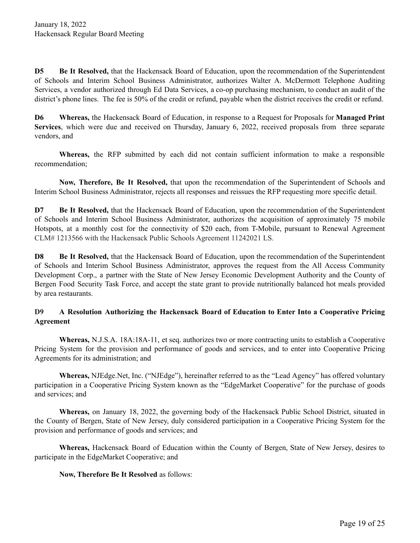**D5 Be It Resolved,** that the Hackensack Board of Education, upon the recommendation of the Superintendent of Schools and Interim School Business Administrator, authorizes Walter A. McDermott Telephone Auditing Services, a vendor authorized through Ed Data Services, a co-op purchasing mechanism, to conduct an audit of the district's phone lines. The fee is 50% of the credit or refund, payable when the district receives the credit or refund.

**D6 Whereas,** the Hackensack Board of Education, in response to a Request for Proposals for **Managed Print Services**, which were due and received on Thursday, January 6, 2022, received proposals from three separate vendors, and

**Whereas,** the RFP submitted by each did not contain sufficient information to make a responsible recommendation;

**Now, Therefore, Be It Resolved,** that upon the recommendation of the Superintendent of Schools and Interim School Business Administrator, rejects all responses and reissues the RFP requesting more specific detail.

**D7 Be It Resolved,** that the Hackensack Board of Education, upon the recommendation of the Superintendent of Schools and Interim School Business Administrator, authorizes the acquisition of approximately 75 mobile Hotspots, at a monthly cost for the connectivity of \$20 each, from T-Mobile, pursuant to Renewal Agreement CLM# 1213566 with the Hackensack Public Schools Agreement 11242021 LS.

**D8 Be It Resolved,** that the Hackensack Board of Education, upon the recommendation of the Superintendent of Schools and Interim School Business Administrator, approves the request from the All Access Community Development Corp., a partner with the State of New Jersey Economic Development Authority and the County of Bergen Food Security Task Force, and accept the state grant to provide nutritionally balanced hot meals provided by area restaurants.

## **D9 A Resolution Authorizing the Hackensack Board of Education to Enter Into a Cooperative Pricing Agreement**

**Whereas,** N.J.S.A. 18A:18A-11, et seq. authorizes two or more contracting units to establish a Cooperative Pricing System for the provision and performance of goods and services, and to enter into Cooperative Pricing Agreements for its administration; and

**Whereas,** NJEdge.Net, Inc. ("NJEdge"), hereinafter referred to as the "Lead Agency" has offered voluntary participation in a Cooperative Pricing System known as the "EdgeMarket Cooperative" for the purchase of goods and services; and

**Whereas,** on January 18, 2022, the governing body of the Hackensack Public School District, situated in the County of Bergen, State of New Jersey, duly considered participation in a Cooperative Pricing System for the provision and performance of goods and services; and

**Whereas,** Hackensack Board of Education within the County of Bergen, State of New Jersey, desires to participate in the EdgeMarket Cooperative; and

## **Now, Therefore Be It Resolved** as follows: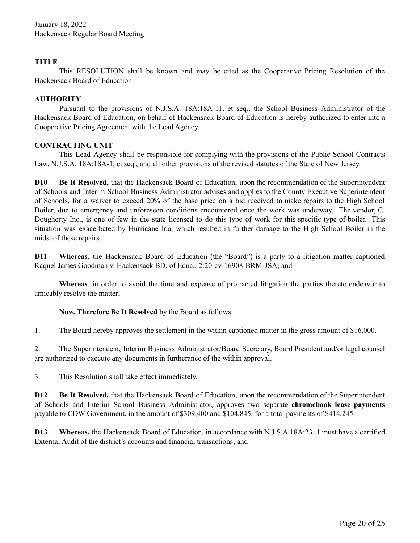## **TITLE**

This RESOLUTION shall be known and may be cited as the Cooperative Pricing Resolution of the Hackensack Board of Education.

## **AUTHORITY**

Pursuant to the provisions of N.J.S.A. 18A:18A-11, et seq., the School Business Administrator of the Hackensack Board of Education, on behalf of Hackensack Board of Education is hereby authorized to enter into a Cooperative Pricing Agreement with the Lead Agency.

## **CONTRACTING UNIT**

This Lead Agency shall be responsible for complying with the provisions of the Public School Contracts Law, N.J.S.A. 18A:18A-1, et seq., and all other provisions of the revised statutes of the State of New Jersey.

**D10 Be It Resolved,** that the Hackensack Board of Education, upon the recommendation of the Superintendent of Schools and Interim School Business Administrator advises and applies to the County Executive Superintendent of Schools, for a waiver to exceed 20% of the base price on a bid received to make repairs to the High School Boiler, due to emergency and unforeseen conditions encountered once the work was underway. The vendor, C. Dougherty Inc., is one of few in the state licensed to do this type of work for this specific type of boiler. This situation was exacerbated by Hurricane Ida, which resulted in further damage to the High School Boiler in the midst of these repairs.

**D11 Whereas**, the Hackensack Board of Education (the "Board") is a party to a litigation matter captioned Raquel James Goodman v. Hackensack BD. of Educ., 2:20-cv-16908-BRM-JSA; and

**Whereas**, in order to avoid the time and expense of protracted litigation the parties thereto endeavor to amicably resolve the matter;

## **Now, Therefore Be It Resolved** by the Board as follows:

1. The Board hereby approves the settlement in the within captioned matter in the gross amount of \$16,000.

2. The Superintendent, Interim Business Administrator/Board Secretary, Board President and/or legal counsel are authorized to execute any documents in furtherance of the within approval.

3. This Resolution shall take effect immediately.

**D12 Be It Resolved,** that the Hackensack Board of Education, upon the recommendation of the Superintendent of Schools and Interim School Business Administrator, approves two separate **chromebook lease payments** payable to CDW Government, in the amount of \$309,400 and \$104,845, for a total payments of \$414,245.

**D13 Whereas,** the Hackensack Board of Education, in accordance with N.J.S.A.18A:23-1 must have a certified External Audit of the district's accounts and financial transactions; and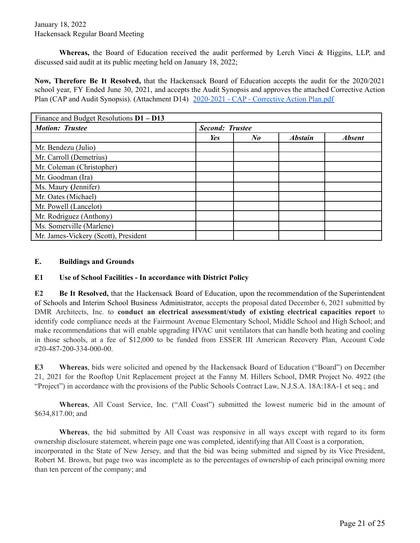January 18, 2022 Hackensack Regular Board Meeting

**Whereas,** the Board of Education received the audit performed by Lerch Vinci & Higgins, LLP, and discussed said audit at its public meeting held on January 18, 2022;

**Now, Therefore Be It Resolved,** that the Hackensack Board of Education accepts the audit for the 2020/2021 school year, FY Ended June 30, 2021, and accepts the Audit Synopsis and approves the attached Corrective Action Plan (CAP and Audit Synopsis). (Attachment D14) [2020-2021](https://docs.google.com/document/u/0/d/17STGpSwJJ_hzgXpJEsfqCo8JYanhRdWdaCgk7VcLQ1c/edit) - CAP - Corrective Action Plan.pdf

| Finance and Budget Resolutions $D1 - D13$ |                        |                      |                |               |
|-------------------------------------------|------------------------|----------------------|----------------|---------------|
| <b>Motion: Trustee</b>                    | <b>Second: Trustee</b> |                      |                |               |
|                                           | Yes                    | $N_{\boldsymbol{0}}$ | <b>Abstain</b> | <b>Absent</b> |
| Mr. Bendezu (Julio)                       |                        |                      |                |               |
| Mr. Carroll (Demetrius)                   |                        |                      |                |               |
| Mr. Coleman (Christopher)                 |                        |                      |                |               |
| Mr. Goodman (Ira)                         |                        |                      |                |               |
| Ms. Maury (Jennifer)                      |                        |                      |                |               |
| Mr. Oates (Michael)                       |                        |                      |                |               |
| Mr. Powell (Lancelot)                     |                        |                      |                |               |
| Mr. Rodriguez (Anthony)                   |                        |                      |                |               |
| Ms. Somerville (Marlene)                  |                        |                      |                |               |
| Mr. James-Vickery (Scott), President      |                        |                      |                |               |

#### **E. Buildings and Grounds**

#### **E1 Use of School Facilities - In accordance with District Policy**

**E2 Be It Resolved,** that the Hackensack Board of Education, upon the recommendation of the Superintendent of Schools and Interim School Business Administrator, accepts the proposal dated December 6, 2021 submitted by DMR Architects, Inc. to **conduct an electrical assessment/study of existing electrical capacities report** to identify code compliance needs at the Fairmount Avenue Elementary School, Middle School and High School; and make recommendations that will enable upgrading HVAC unit ventilators that can handle both heating and cooling in those schools, at a fee of \$12,000 to be funded from ESSER III American Recovery Plan, Account Code #20-487-200-334-000-00.

**E3 Whereas**, bids were solicited and opened by the Hackensack Board of Education ("Board") on December 21, 2021 for the Rooftop Unit Replacement project at the Fanny M. Hillers School, DMR Project No. 4922 (the "Project") in accordance with the provisions of the Public Schools Contract Law, N.J.S.A. 18A:18A-1 et seq.; and

**Whereas**, All Coast Service, Inc. ("All Coast") submitted the lowest numeric bid in the amount of \$634,817.00; and

**Whereas**, the bid submitted by All Coast was responsive in all ways except with regard to its form ownership disclosure statement, wherein page one was completed, identifying that All Coast is a corporation, incorporated in the State of New Jersey, and that the bid was being submitted and signed by its Vice President, Robert M. Brown, but page two was incomplete as to the percentages of ownership of each principal owning more than ten percent of the company; and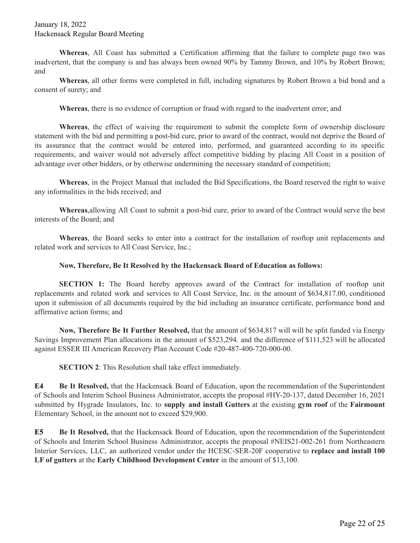**Whereas**, All Coast has submitted a Certification affirming that the failure to complete page two was inadvertent, that the company is and has always been owned 90% by Tammy Brown, and 10% by Robert Brown; and

**Whereas**, all other forms were completed in full, including signatures by Robert Brown a bid bond and a consent of surety; and

**Whereas**, there is no evidence of corruption or fraud with regard to the inadvertent error; and

**Whereas**, the effect of waiving the requirement to submit the complete form of ownership disclosure statement with the bid and permitting a post-bid cure, prior to award of the contract, would not deprive the Board of its assurance that the contract would be entered into, performed, and guaranteed according to its specific requirements, and waiver would not adversely affect competitive bidding by placing All Coast in a position of advantage over other bidders, or by otherwise undermining the necessary standard of competition;

**Whereas**, in the Project Manual that included the Bid Specifications, the Board reserved the right to waive any informalities in the bids received; and

**Whereas**,allowing All Coast to submit a post-bid cure, prior to award of the Contract would serve the best interests of the Board; and

**Whereas**, the Board seeks to enter into a contract for the installation of rooftop unit replacements and related work and services to All Coast Service, Inc.;

## **Now, Therefore, Be It Resolved by the Hackensack Board of Education as follows:**

**SECTION 1:** The Board hereby approves award of the Contract for installation of rooftop unit replacements and related work and services to All Coast Service, Inc. in the amount of \$634,817.00, conditioned upon it submission of all documents required by the bid including an insurance certificate, performance bond and affirmative action forms; and

**Now, Therefore Be It Further Resolved,** that the amount of \$634,817 will will be split funded via Energy Savings Improvement Plan allocations in the amount of \$523,294. and the difference of \$111,523 will be allocated against ESSER III American Recovery Plan Account Code #20-487-400-720-000-00.

**SECTION 2**: This Resolution shall take effect immediately.

**E4 Be It Resolved,** that the Hackensack Board of Education, upon the recommendation of the Superintendent of Schools and Interim School Business Administrator, accepts the proposal #HY-20-137, dated December 16, 2021 submitted by Hygrade Insulators, Inc. to **supply and install Gutters** at the existing **gym roof** of the **Fairmount** Elementary School, in the amount not to exceed \$29,900.

**E5 Be It Resolved,** that the Hackensack Board of Education, upon the recommendation of the Superintendent of Schools and Interim School Business Administrator, accepts the proposal #NEIS21-002-261 from Northeastern Interior Services, LLC, an authorized vendor under the HCESC-SER-20F cooperative to **replace and install 100 LF of gutters** at the **Early Childhood Development Center** in the amount of \$13,100.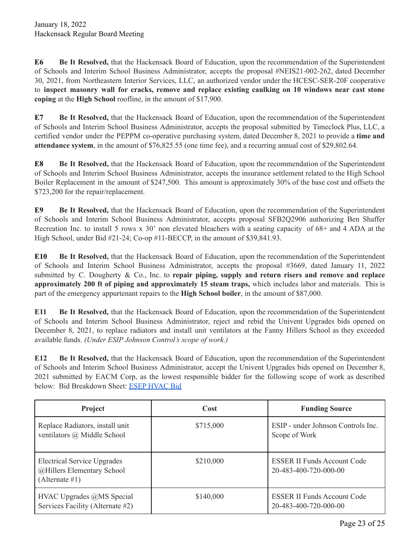**E6 Be It Resolved,** that the Hackensack Board of Education, upon the recommendation of the Superintendent of Schools and Interim School Business Administrator, accepts the proposal #NEIS21-002-262, dated December 30, 2021, from Northeastern Interior Services, LLC, an authorized vendor under the HCESC-SER-20F cooperative to **inspect masonry wall for cracks, remove and replace existing caulking on 10 windows near cast stone coping** at the **High School** roofline, in the amount of \$17,900.

**E7 Be It Resolved,** that the Hackensack Board of Education, upon the recommendation of the Superintendent of Schools and Interim School Business Administrator, accepts the proposal submitted by Timeclock Plus, LLC, a certified vendor under the PEPPM co-operative purchasing system, dated December 8, 2021 to provide a **time and attendance system**, in the amount of \$76,825.55 (one time fee), and a recurring annual cost of \$29,802.64.

**E8 Be It Resolved,** that the Hackensack Board of Education, upon the recommendation of the Superintendent of Schools and Interim School Business Administrator, accepts the insurance settlement related to the High School Boiler Replacement in the amount of \$247,500. This amount is approximately 30% of the base cost and offsets the \$723,200 for the repair/replacement.

**E9 Be It Resolved,** that the Hackensack Board of Education, upon the recommendation of the Superintendent of Schools and Interim School Business Administrator, accepts proposal SFB2Q2906 authorizing Ben Shaffer Recreation Inc. to install 5 rows x 30' non elevated bleachers with a seating capacity of 68+ and 4 ADA at the High School, under Bid #21-24; Co-op #11-BECCP, in the amount of \$39,841.93.

**E10 Be It Resolved,** that the Hackensack Board of Education, upon the recommendation of the Superintendent of Schools and Interim School Business Administrator, accepts the proposal #3669, dated January 11, 2022 submitted by C. Dougherty & Co., Inc. to **repair piping, supply and return risers and remove and replace approximately 200 ft of piping and approximately 15 steam traps,** which includes labor and materials. This is part of the emergency appurtenant repairs to the **High School boiler**, in the amount of \$87,000.

**E11 Be It Resolved,** that the Hackensack Board of Education, upon the recommendation of the Superintendent of Schools and Interim School Business Administrator, reject and rebid the Univent Upgrades bids opened on December 8, 2021, to replace radiators and install unit ventilators at the Fanny Hillers School as they exceeded available funds. *(Under ESIP Johnson Control's scope of work.)*

**E12 Be It Resolved,** that the Hackensack Board of Education, upon the recommendation of the Superintendent of Schools and Interim School Business Administrator, accept the Univent Upgrades bids opened on December 8, 2021 submitted by EACM Corp, as the lowest responsible bidder for the following scope of work as described below: Bid Breakdown Sheet: ESEP [HVAC](https://drive.google.com/file/d/1eP-_PTiirDsl1IcXL1qAUpPY8zpoE3Mc/view?usp=sharing) Bid

| Project                                                                            | <b>Cost</b> | <b>Funding Source</b>                                       |
|------------------------------------------------------------------------------------|-------------|-------------------------------------------------------------|
| Replace Radiators, install unit<br>ventilators @ Middle School                     | \$715,000   | ESIP - under Johnson Controls Inc.<br>Scope of Work         |
| <b>Electrical Service Upgrades</b><br>@Hillers Elementary School<br>(Alternate #1) | \$210,000   | <b>ESSER II Funds Account Code</b><br>20-483-400-720-000-00 |
| HVAC Upgrades @MS Special<br>Services Facility (Alternate #2)                      | \$140,000   | <b>ESSER II Funds Account Code</b><br>20-483-400-720-000-00 |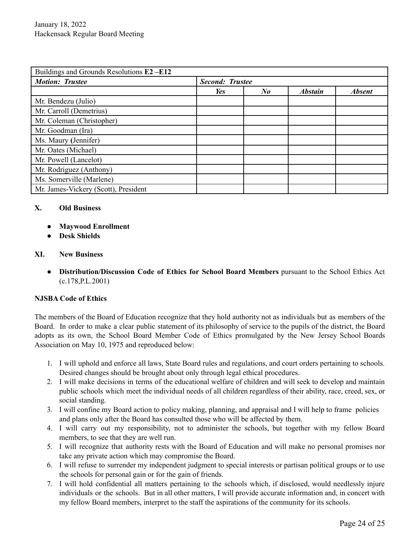| Buildings and Grounds Resolutions E2-E12 |                        |                      |                |               |
|------------------------------------------|------------------------|----------------------|----------------|---------------|
| <b>Motion: Trustee</b>                   | <b>Second: Trustee</b> |                      |                |               |
|                                          | Yes                    | $N_{\boldsymbol{0}}$ | <b>Abstain</b> | <b>Absent</b> |
| Mr. Bendezu (Julio)                      |                        |                      |                |               |
| Mr. Carroll (Demetrius)                  |                        |                      |                |               |
| Mr. Coleman (Christopher)                |                        |                      |                |               |
| Mr. Goodman (Ira)                        |                        |                      |                |               |
| Ms. Maury (Jennifer)                     |                        |                      |                |               |
| Mr. Oates (Michael)                      |                        |                      |                |               |
| Mr. Powell (Lancelot)                    |                        |                      |                |               |
| Mr. Rodriguez (Anthony)                  |                        |                      |                |               |
| Ms. Somerville (Marlene)                 |                        |                      |                |               |
| Mr. James-Vickery (Scott), President     |                        |                      |                |               |

## **X. Old Business**

- **● Maywood Enrollment**
- **● Desk Shields**

## **XI. New Business**

● **Distribution/Discussion Code of Ethics for School Board Members** pursuant to the School Ethics Act (c.178,P.L.2001)

#### **NJSBA Code of Ethics**

The members of the Board of Education recognize that they hold authority not as individuals but as members of the Board. In order to make a clear public statement of its philosophy of service to the pupils of the district, the Board adopts as its own, the School Board Member Code of Ethics promulgated by the New Jersey School Boards Association on May 10, 1975 and reproduced below:

- 1. I will uphold and enforce all laws, State Board rules and regulations, and court orders pertaining to schools. Desired changes should be brought about only through legal ethical procedures.
- 2. I will make decisions in terms of the educational welfare of children and will seek to develop and maintain public schools which meet the individual needs of all children regardless of their ability, race, creed, sex, or social standing.
- 3. I will confine my Board action to policy making, planning, and appraisal and I will help to frame policies and plans only after the Board has consulted those who will be affected by them.
- 4. I will carry out my responsibility, not to administer the schools, but together with my fellow Board members, to see that they are well run.
- 5. I will recognize that authority rests with the Board of Education and will make no personal promises nor take any private action which may compromise the Board.
- 6. I will refuse to surrender my independent judgment to special interests or partisan political groups or to use the schools for personal gain or for the gain of friends.
- 7. I will hold confidential all matters pertaining to the schools which, if disclosed, would needlessly injure individuals or the schools. But in all other matters, I will provide accurate information and, in concert with my fellow Board members, interpret to the staff the aspirations of the community for its schools.